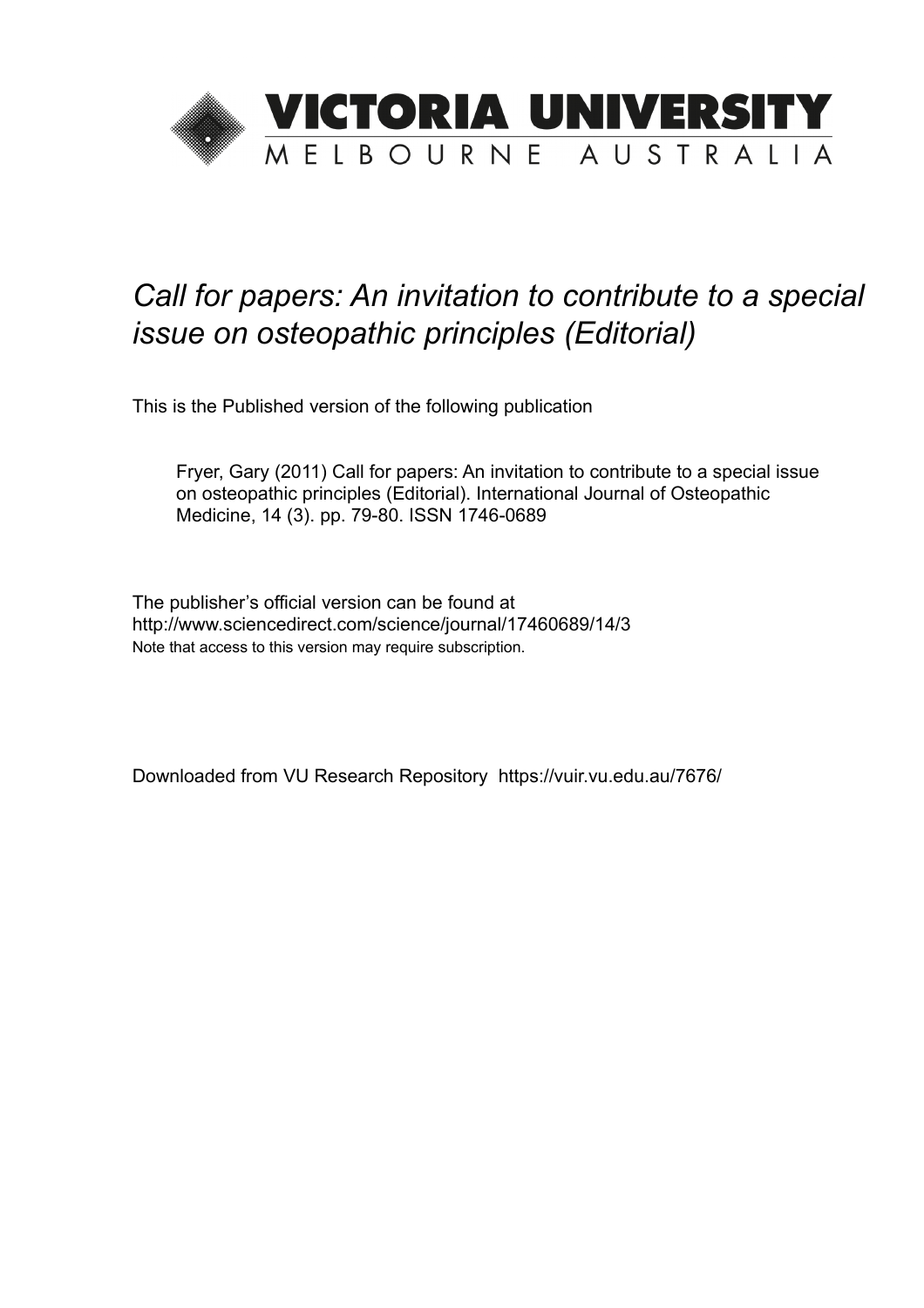

## *Call for papers: An invitation to contribute to a special issue on osteopathic principles (Editorial)*

This is the Published version of the following publication

Fryer, Gary (2011) Call for papers: An invitation to contribute to a special issue on osteopathic principles (Editorial). International Journal of Osteopathic Medicine, 14 (3). pp. 79-80. ISSN 1746-0689

The publisher's official version can be found at http://www.sciencedirect.com/science/journal/17460689/14/3 Note that access to this version may require subscription.

Downloaded from VU Research Repository https://vuir.vu.edu.au/7676/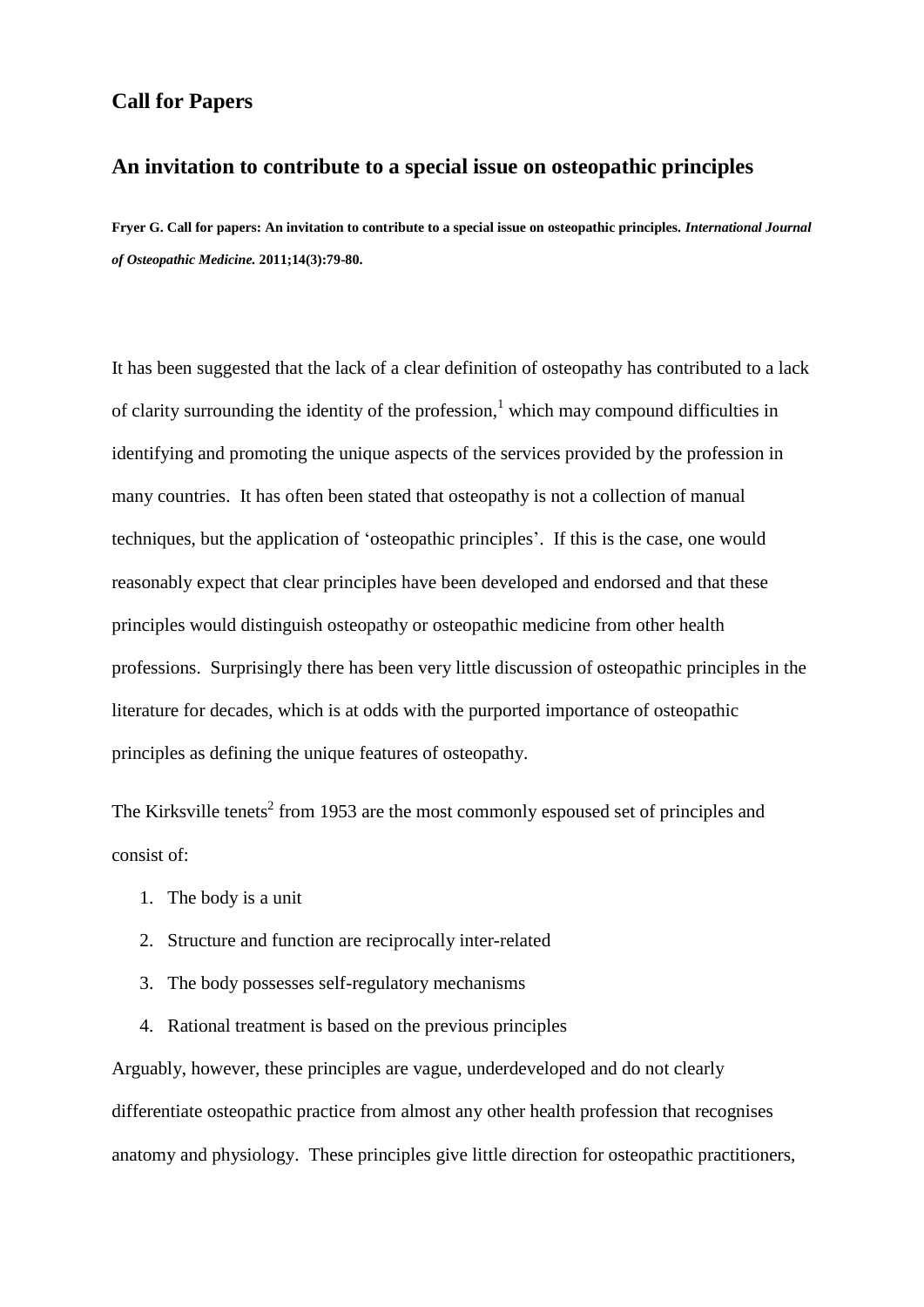## **Call for Papers**

## **An invitation to contribute to a special issue on osteopathic principles**

**Fryer G. Call for papers: An invitation to contribute to a special issue on osteopathic principles.** *International Journal of Osteopathic Medicine.* **2011;14(3):79-80.**

It has been suggested that the lack of a clear definition of osteopathy has contributed to a lack of clarity surrounding the identity of the profession,<sup>1</sup> which may compound difficulties in identifying and promoting the unique aspects of the services provided by the profession in many countries. It has often been stated that osteopathy is not a collection of manual techniques, but the application of 'osteopathic principles'. If this is the case, one would reasonably expect that clear principles have been developed and endorsed and that these principles would distinguish osteopathy or osteopathic medicine from other health professions. Surprisingly there has been very little discussion of osteopathic principles in the literature for decades, which is at odds with the purported importance of osteopathic principles as defining the unique features of osteopathy.

The Kirksville tenets<sup>2</sup> from 1953 are the most commonly espoused set of principles and consist of:

- 1. The body is a unit
- 2. Structure and function are reciprocally inter-related
- 3. The body possesses self-regulatory mechanisms
- 4. Rational treatment is based on the previous principles

Arguably, however, these principles are vague, underdeveloped and do not clearly differentiate osteopathic practice from almost any other health profession that recognises anatomy and physiology. These principles give little direction for osteopathic practitioners,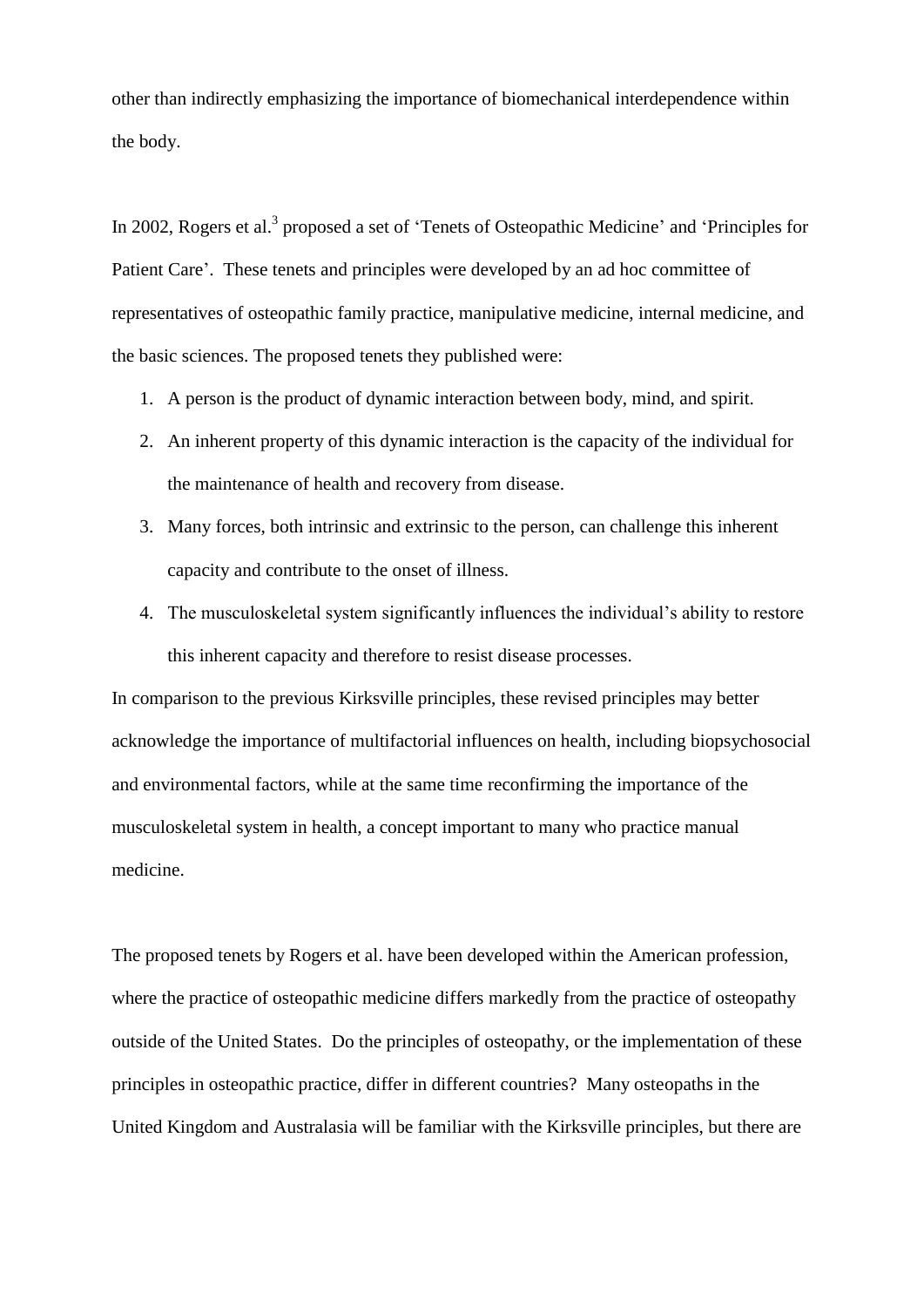other than indirectly emphasizing the importance of biomechanical interdependence within the body.

In 2002, Rogers et al.<sup>3</sup> proposed a set of 'Tenets of Osteopathic Medicine' and 'Principles for Patient Care'. These tenets and principles were developed by an ad hoc committee of representatives of osteopathic family practice, manipulative medicine, internal medicine, and the basic sciences. The proposed tenets they published were:

- 1. A person is the product of dynamic interaction between body, mind, and spirit.
- 2. An inherent property of this dynamic interaction is the capacity of the individual for the maintenance of health and recovery from disease.
- 3. Many forces, both intrinsic and extrinsic to the person, can challenge this inherent capacity and contribute to the onset of illness.
- 4. The musculoskeletal system significantly influences the individual's ability to restore this inherent capacity and therefore to resist disease processes.

In comparison to the previous Kirksville principles, these revised principles may better acknowledge the importance of multifactorial influences on health, including biopsychosocial and environmental factors, while at the same time reconfirming the importance of the musculoskeletal system in health, a concept important to many who practice manual medicine.

The proposed tenets by Rogers et al. have been developed within the American profession, where the practice of osteopathic medicine differs markedly from the practice of osteopathy outside of the United States. Do the principles of osteopathy, or the implementation of these principles in osteopathic practice, differ in different countries? Many osteopaths in the United Kingdom and Australasia will be familiar with the Kirksville principles, but there are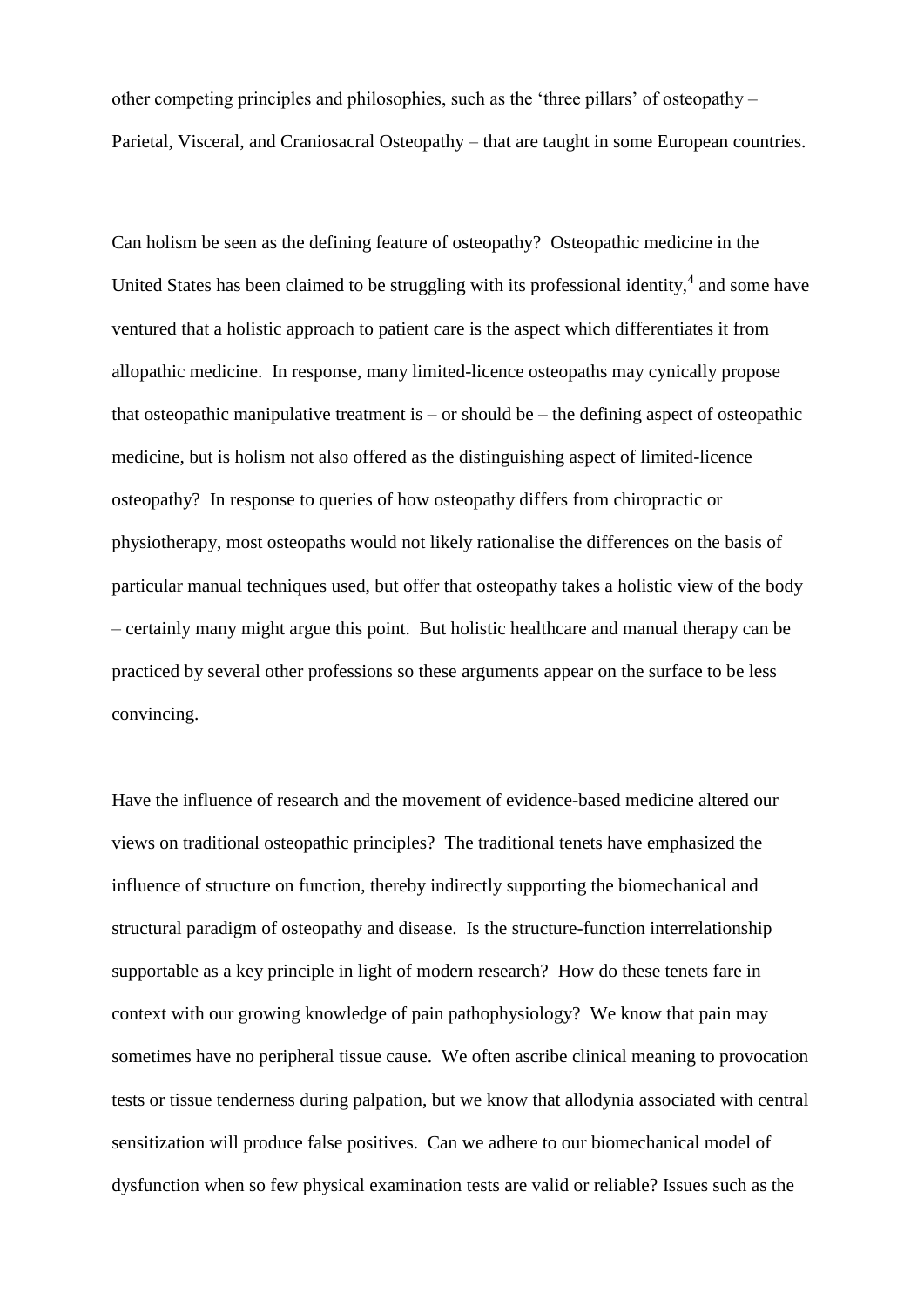other competing principles and philosophies, such as the 'three pillars' of osteopathy – Parietal, Visceral, and Craniosacral Osteopathy – that are taught in some European countries.

Can holism be seen as the defining feature of osteopathy? Osteopathic medicine in the United States has been claimed to be struggling with its professional identity, $4$  and some have ventured that a holistic approach to patient care is the aspect which differentiates it from allopathic medicine. In response, many limited-licence osteopaths may cynically propose that osteopathic manipulative treatment is – or should be – the defining aspect of osteopathic medicine, but is holism not also offered as the distinguishing aspect of limited-licence osteopathy? In response to queries of how osteopathy differs from chiropractic or physiotherapy, most osteopaths would not likely rationalise the differences on the basis of particular manual techniques used, but offer that osteopathy takes a holistic view of the body – certainly many might argue this point. But holistic healthcare and manual therapy can be practiced by several other professions so these arguments appear on the surface to be less convincing.

Have the influence of research and the movement of evidence-based medicine altered our views on traditional osteopathic principles? The traditional tenets have emphasized the influence of structure on function, thereby indirectly supporting the biomechanical and structural paradigm of osteopathy and disease. Is the structure-function interrelationship supportable as a key principle in light of modern research? How do these tenets fare in context with our growing knowledge of pain pathophysiology? We know that pain may sometimes have no peripheral tissue cause. We often ascribe clinical meaning to provocation tests or tissue tenderness during palpation, but we know that allodynia associated with central sensitization will produce false positives. Can we adhere to our biomechanical model of dysfunction when so few physical examination tests are valid or reliable? Issues such as the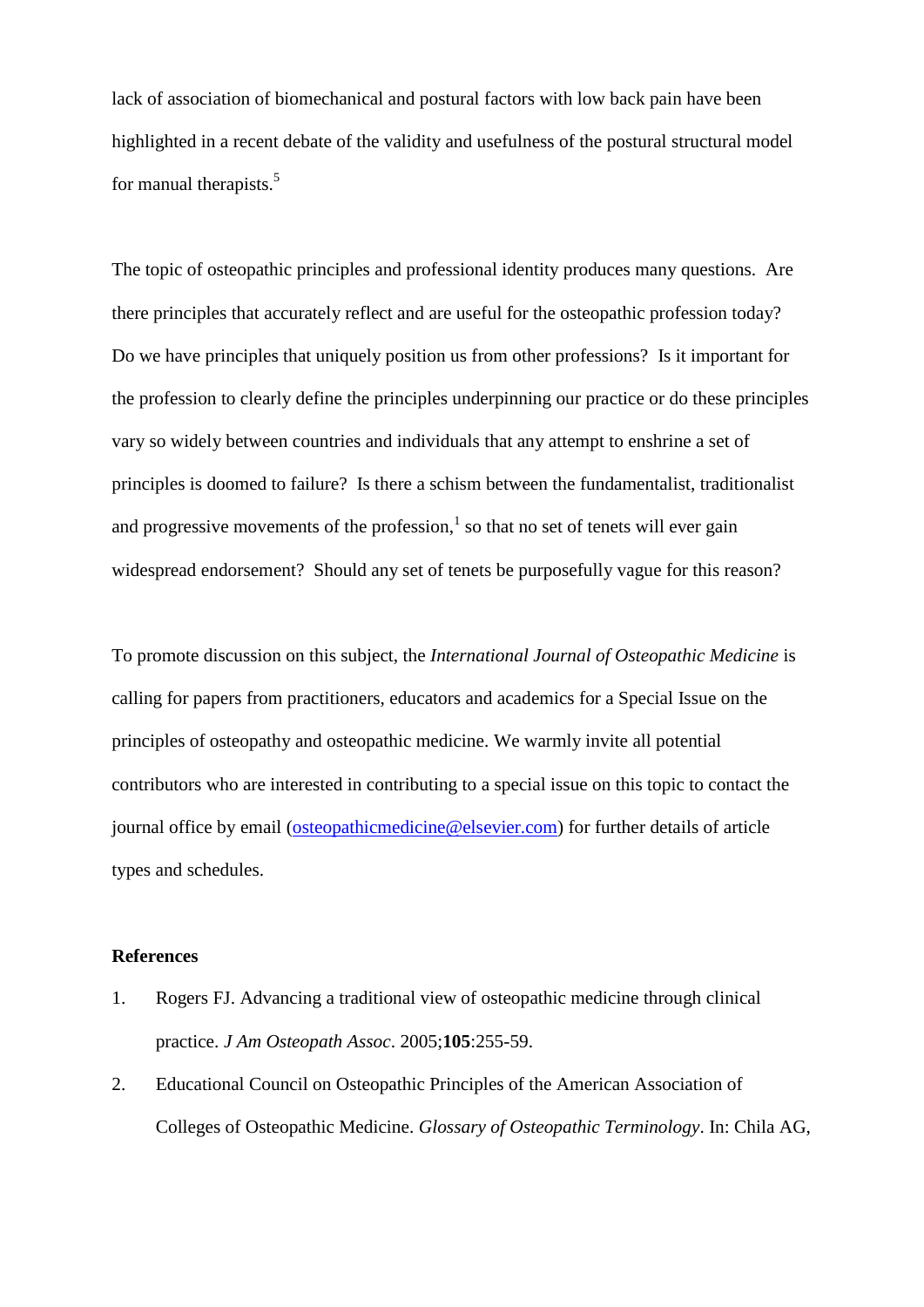lack of association of biomechanical and postural factors with low back pain have been highlighted in a recent debate of the validity and usefulness of the postural structural model for manual therapists.<sup>5</sup>

The topic of osteopathic principles and professional identity produces many questions. Are there principles that accurately reflect and are useful for the osteopathic profession today? Do we have principles that uniquely position us from other professions? Is it important for the profession to clearly define the principles underpinning our practice or do these principles vary so widely between countries and individuals that any attempt to enshrine a set of principles is doomed to failure? Is there a schism between the fundamentalist, traditionalist and progressive movements of the profession, $<sup>1</sup>$  so that no set of tenets will ever gain</sup> widespread endorsement? Should any set of tenets be purposefully vague for this reason?

To promote discussion on this subject, the *International Journal of Osteopathic Medicine* is calling for papers from practitioners, educators and academics for a Special Issue on the principles of osteopathy and osteopathic medicine. We warmly invite all potential contributors who are interested in contributing to a special issue on this topic to contact the journal office by email [\(osteopathicmedicine@elsevier.com\)](mailto:osteopathicmedicine@elsevier.com) for further details of article types and schedules.

## **References**

- 1. Rogers FJ. Advancing a traditional view of osteopathic medicine through clinical practice. *J Am Osteopath Assoc*. 2005;**105**:255-59.
- 2. Educational Council on Osteopathic Principles of the American Association of Colleges of Osteopathic Medicine. *Glossary of Osteopathic Terminology*. In: Chila AG,